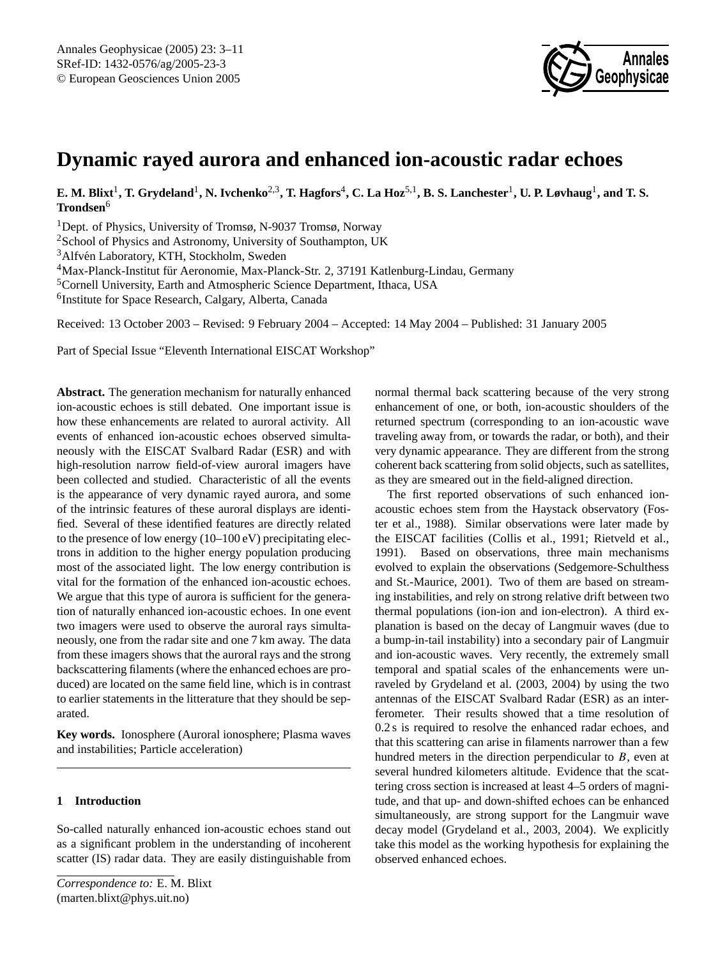

# **Dynamic rayed aurora and enhanced ion-acoustic radar echoes**

**E. M. Blixt**<sup>1</sup> **, T. Grydeland**<sup>1</sup> **, N. Ivchenko**2,3**, T. Hagfors**<sup>4</sup> **, C. La Hoz**5,1**, B. S. Lanchester**<sup>1</sup> **, U. P. Løvhaug**<sup>1</sup> **, and T. S. Trondsen**<sup>6</sup>

<sup>1</sup>Dept. of Physics, University of Tromsø, N-9037 Tromsø, Norway

<sup>2</sup>School of Physics and Astronomy, University of Southampton, UK

<sup>3</sup>Alfvén Laboratory, KTH, Stockholm, Sweden

<sup>4</sup>Max-Planck-Institut für Aeronomie, Max-Planck-Str. 2, 37191 Katlenburg-Lindau, Germany

<sup>5</sup>Cornell University, Earth and Atmospheric Science Department, Ithaca, USA

6 Institute for Space Research, Calgary, Alberta, Canada

Received: 13 October 2003 – Revised: 9 February 2004 – Accepted: 14 May 2004 – Published: 31 January 2005

Part of Special Issue "Eleventh International EISCAT Workshop"

**Abstract.** The generation mechanism for naturally enhanced ion-acoustic echoes is still debated. One important issue is how these enhancements are related to auroral activity. All events of enhanced ion-acoustic echoes observed simultaneously with the EISCAT Svalbard Radar (ESR) and with high-resolution narrow field-of-view auroral imagers have been collected and studied. Characteristic of all the events is the appearance of very dynamic rayed aurora, and some of the intrinsic features of these auroral displays are identified. Several of these identified features are directly related to the presence of low energy (10–100 eV) precipitating electrons in addition to the higher energy population producing most of the associated light. The low energy contribution is vital for the formation of the enhanced ion-acoustic echoes. We argue that this type of aurora is sufficient for the generation of naturally enhanced ion-acoustic echoes. In one event two imagers were used to observe the auroral rays simultaneously, one from the radar site and one 7 km away. The data from these imagers shows that the auroral rays and the strong backscattering filaments (where the enhanced echoes are produced) are located on the same field line, which is in contrast to earlier statements in the litterature that they should be separated.

**Key words.** Ionosphere (Auroral ionosphere; Plasma waves and instabilities; Particle acceleration)

# **1 Introduction**

<span id="page-0-0"></span>So-called naturally enhanced ion-acoustic echoes stand out as a significant problem in the understanding of incoherent scatter (IS) radar data. They are easily distinguishable from normal thermal back scattering because of the very strong enhancement of one, or both, ion-acoustic shoulders of the returned spectrum (corresponding to an ion-acoustic wave traveling away from, or towards the radar, or both), and their very dynamic appearance. They are different from the strong coherent back scattering from solid objects, such as satellites, as they are smeared out in the field-aligned direction.

The first reported observations of such enhanced ionacoustic echoes stem from the Haystack observatory [\(Fos](#page-8-0)[ter et al.,](#page-8-0) [1988\)](#page-8-0). Similar observations were later made by the EISCAT facilities [\(Collis et al.,](#page-8-1) [1991;](#page-8-1) [Rietveld et al.,](#page-8-2) [1991\)](#page-8-2). Based on observations, three main mechanisms evolved to explain the observations [\(Sedgemore-Schulthess](#page-8-3) [and St.-Maurice,](#page-8-3) [2001\)](#page-8-3). Two of them are based on streaming instabilities, and rely on strong relative drift between two thermal populations (ion-ion and ion-electron). A third explanation is based on the decay of Langmuir waves (due to a bump-in-tail instability) into a secondary pair of Langmuir and ion-acoustic waves. Very recently, the extremely small temporal and spatial scales of the enhancements were unraveled by [Grydeland et al.](#page-8-4) [\(2003,](#page-8-4) [2004\)](#page-8-5) by using the two antennas of the EISCAT Svalbard Radar (ESR) as an interferometer. Their results showed that a time resolution of 0.2 s is required to resolve the enhanced radar echoes, and that this scattering can arise in filaments narrower than a few hundred meters in the direction perpendicular to  $B$ , even at several hundred kilometers altitude. Evidence that the scattering cross section is increased at least 4–5 orders of magnitude, and that up- and down-shifted echoes can be enhanced simultaneously, are strong support for the Langmuir wave decay model [\(Grydeland et al.,](#page-8-4) [2003,](#page-8-4) [2004\)](#page-8-5). We explicitly take this model as the working hypothesis for explaining the observed enhanced echoes.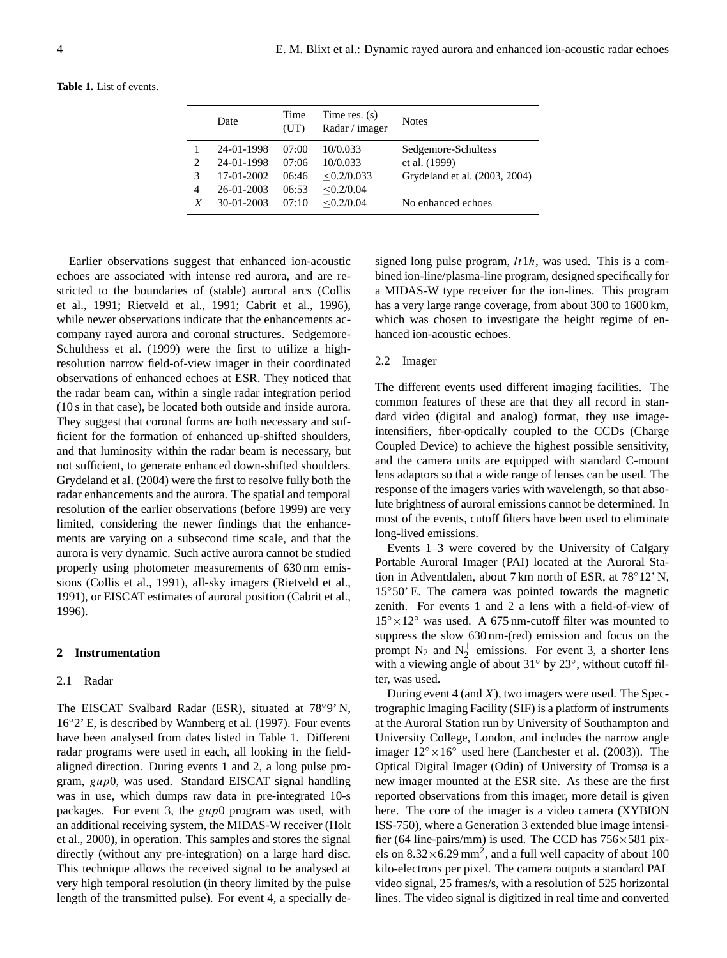| <b>Table 1.</b> List of events. |  |  |
|---------------------------------|--|--|
|                                 |  |  |

|   | Date       | Time<br>(UT) | Time res. $(s)$<br>Radar / imager | <b>Notes</b>                  |
|---|------------|--------------|-----------------------------------|-------------------------------|
|   | 24-01-1998 | 07:00        | 10/0.033                          | Sedgemore-Schultess           |
|   | 24-01-1998 | 07:06        | 10/0.033                          | et al. (1999)                 |
| 3 | 17-01-2002 | 06:46        | $\leq 0.2/0.033$                  | Grydeland et al. (2003, 2004) |
| 4 | 26-01-2003 | 06:53        | < 0.2 / 0.04                      |                               |
| X | 30-01-2003 | 07:10        | < 0.2 / 0.04                      | No enhanced echoes            |

Earlier observations suggest that enhanced ion-acoustic echoes are associated with intense red aurora, and are restricted to the boundaries of (stable) auroral arcs [\(Collis](#page-8-1) [et al.,](#page-8-1) [1991;](#page-8-1) [Rietveld et al.,](#page-8-2) [1991;](#page-8-2) [Cabrit et al.,](#page-8-6) [1996\)](#page-8-6), while newer observations indicate that the enhancements accompany rayed aurora and coronal structures. Sedgemore-Schulthess et al. (1999) were the first to utilize a highresolution narrow field-of-view imager in their coordinated observations of enhanced echoes at ESR. They noticed that the radar beam can, within a single radar integration period (10 s in that case), be located both outside and inside aurora. They suggest that coronal forms are both necessary and sufficient for the formation of enhanced up-shifted shoulders, and that luminosity within the radar beam is necessary, but not sufficient, to generate enhanced down-shifted shoulders. [Grydeland et al.](#page-8-5) [\(2004\)](#page-8-5) were the first to resolve fully both the radar enhancements and the aurora. The spatial and temporal resolution of the earlier observations (before 1999) are very limited, considering the newer findings that the enhancements are varying on a subsecond time scale, and that the aurora is very dynamic. Such active aurora cannot be studied properly using photometer measurements of 630 nm emissions [\(Collis et al.,](#page-8-1) [1991\)](#page-8-1), all-sky imagers [\(Rietveld et al.,](#page-8-2) [1991\)](#page-8-2), or EISCAT estimates of auroral position [\(Cabrit et al.,](#page-8-6) [1996\)](#page-8-6).

## **2 Instrumentation**

#### 2.1 Radar

The EISCAT Svalbard Radar (ESR), situated at 78◦9' N, 16◦2' E, is described by [Wannberg et al.](#page-8-7) [\(1997\)](#page-8-7). Four events have been analysed from dates listed in Table 1. Different radar programs were used in each, all looking in the fieldaligned direction. During events 1 and 2, a long pulse program, gup0, was used. Standard EISCAT signal handling was in use, which dumps raw data in pre-integrated 10-s packages. For event 3, the gup0 program was used, with an additional receiving system, the MIDAS-W receiver [\(Holt](#page-8-8) [et al.,](#page-8-8) [2000\)](#page-8-8), in operation. This samples and stores the signal directly (without any pre-integration) on a large hard disc. This technique allows the received signal to be analysed at very high temporal resolution (in theory limited by the pulse length of the transmitted pulse). For event 4, a specially designed long pulse program,  $lt1h$ , was used. This is a combined ion-line/plasma-line program, designed specifically for a MIDAS-W type receiver for the ion-lines. This program has a very large range coverage, from about 300 to 1600 km, which was chosen to investigate the height regime of enhanced ion-acoustic echoes.

## 2.2 Imager

The different events used different imaging facilities. The common features of these are that they all record in standard video (digital and analog) format, they use imageintensifiers, fiber-optically coupled to the CCDs (Charge Coupled Device) to achieve the highest possible sensitivity, and the camera units are equipped with standard C-mount lens adaptors so that a wide range of lenses can be used. The response of the imagers varies with wavelength, so that absolute brightness of auroral emissions cannot be determined. In most of the events, cutoff filters have been used to eliminate long-lived emissions.

Events 1–3 were covered by the University of Calgary Portable Auroral Imager (PAI) located at the Auroral Station in Adventdalen, about 7 km north of ESR, at 78◦12' N, 15◦50' E. The camera was pointed towards the magnetic zenith. For events 1 and 2 a lens with a field-of-view of  $15^{\circ} \times 12^{\circ}$  was used. A 675 nm-cutoff filter was mounted to suppress the slow 630 nm-(red) emission and focus on the prompt  $N_2$  and  $N_2^+$  emissions. For event 3, a shorter lens with a viewing angle of about 31<sup>°</sup> by 23<sup>°</sup>, without cutoff filter, was used.

During event  $4$  (and  $X$ ), two imagers were used. The Spectrographic Imaging Facility (SIF) is a platform of instruments at the Auroral Station run by University of Southampton and University College, London, and includes the narrow angle imager  $12° \times 16°$  used here [\(Lanchester et al.](#page-8-9) [\(2003\)](#page-8-9)). The Optical Digital Imager (Odin) of University of Tromsø is a new imager mounted at the ESR site. As these are the first reported observations from this imager, more detail is given here. The core of the imager is a video camera (XYBION ISS-750), where a Generation 3 extended blue image intensifier (64 line-pairs/mm) is used. The CCD has  $756\times581$  pixels on  $8.32 \times 6.29$  mm<sup>2</sup>, and a full well capacity of about 100 kilo-electrons per pixel. The camera outputs a standard PAL video signal, 25 frames/s, with a resolution of 525 horizontal lines. The video signal is digitized in real time and converted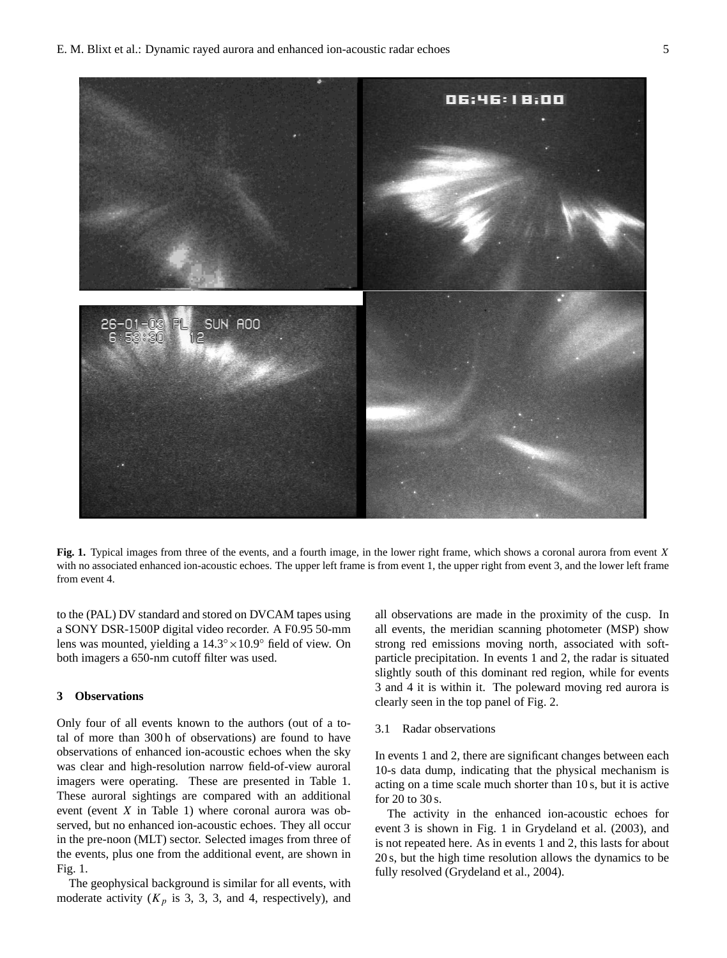

**Fig. 1.** Typical images from three of the events, and a fourth image, in the lower right frame, which shows a coronal aurora from event X with no associated enhanced ion-acoustic echoes. The upper left frame is from event 1, the upper right from event 3, and the lower left frame from event 4.

to the (PAL) DV standard and stored on DVCAM tapes using a SONY DSR-1500P digital video recorder. A F0.95 50-mm lens was mounted, yielding a 14.3◦×10.9◦ field of view. On both imagers a 650-nm cutoff filter was used.

## **3 Observations**

Only four of all events known to the authors (out of a total of more than 300 h of observations) are found to have observations of enhanced ion-acoustic echoes when the sky was clear and high-resolution narrow field-of-view auroral imagers were operating. These are presented in Table 1. These auroral sightings are compared with an additional event (event X in Table 1) where coronal aurora was observed, but no enhanced ion-acoustic echoes. They all occur in the pre-noon (MLT) sector. Selected images from three of the events, plus one from the additional event, are shown in Fig. 1.

The geophysical background is similar for all events, with moderate activity  $(K_p$  is 3, 3, 3, and 4, respectively), and all observations are made in the proximity of the cusp. In all events, the meridian scanning photometer (MSP) show strong red emissions moving north, associated with softparticle precipitation. In events 1 and 2, the radar is situated slightly south of this dominant red region, while for events 3 and 4 it is within it. The poleward moving red aurora is clearly seen in the top panel of Fig. 2.

## 3.1 Radar observations

In events 1 and 2, there are significant changes between each 10-s data dump, indicating that the physical mechanism is acting on a time scale much shorter than 10 s, but it is active for 20 to 30 s.

The activity in the enhanced ion-acoustic echoes for event 3 is shown in Fig. 1 in [Grydeland et al.](#page-8-4) [\(2003\)](#page-8-4), and is not repeated here. As in events 1 and 2, this lasts for about 20 s, but the high time resolution allows the dynamics to be fully resolved [\(Grydeland et al.,](#page-8-5) [2004\)](#page-8-5).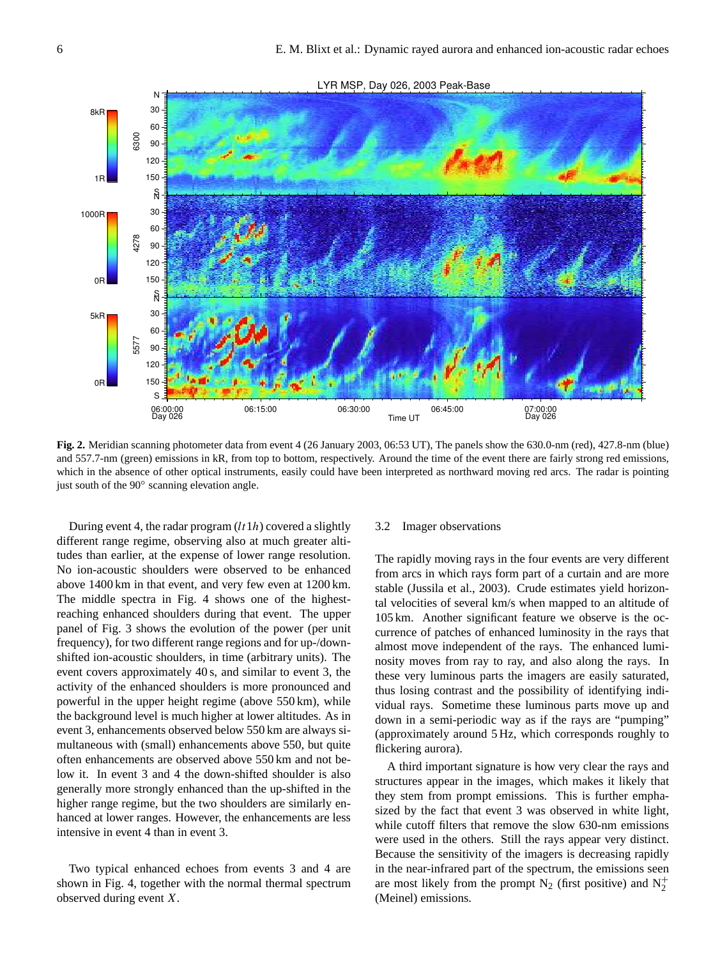

**Fig. 2.** Meridian scanning photometer data from event 4 (26 January 2003, 06:53 UT), The panels show the 630.0-nm (red), 427.8-nm (blue) and 557.7-nm (green) emissions in kR, from top to bottom, respectively. Around the time of the event there are fairly strong red emissions, which in the absence of other optical instruments, easily could have been interpreted as northward moving red arcs. The radar is pointing just south of the 90◦ scanning elevation angle.

During event 4, the radar program  $(lt1h)$  covered a slightly different range regime, observing also at much greater altitudes than earlier, at the expense of lower range resolution. No ion-acoustic shoulders were observed to be enhanced above 1400 km in that event, and very few even at 1200 km. The middle spectra in Fig. 4 shows one of the highestreaching enhanced shoulders during that event. The upper panel of Fig. 3 shows the evolution of the power (per unit frequency), for two different range regions and for up-/downshifted ion-acoustic shoulders, in time (arbitrary units). The event covers approximately 40 s, and similar to event 3, the activity of the enhanced shoulders is more pronounced and powerful in the upper height regime (above 550 km), while the background level is much higher at lower altitudes. As in event 3, enhancements observed below 550 km are always simultaneous with (small) enhancements above 550, but quite often enhancements are observed above 550 km and not below it. In event 3 and 4 the down-shifted shoulder is also generally more strongly enhanced than the up-shifted in the higher range regime, but the two shoulders are similarly enhanced at lower ranges. However, the enhancements are less intensive in event 4 than in event 3.

# Two typical enhanced echoes from events 3 and 4 are shown in Fig. 4, together with the normal thermal spectrum observed during event X.

## 3.2 Imager observations

The rapidly moving rays in the four events are very different from arcs in which rays form part of a curtain and are more stable [\(Jussila et al.,](#page-8-10) [2003\)](#page-8-10). Crude estimates yield horizontal velocities of several km/s when mapped to an altitude of 105 km. Another significant feature we observe is the occurrence of patches of enhanced luminosity in the rays that almost move independent of the rays. The enhanced luminosity moves from ray to ray, and also along the rays. In these very luminous parts the imagers are easily saturated, thus losing contrast and the possibility of identifying individual rays. Sometime these luminous parts move up and down in a semi-periodic way as if the rays are "pumping" (approximately around 5 Hz, which corresponds roughly to flickering aurora).

A third important signature is how very clear the rays and structures appear in the images, which makes it likely that they stem from prompt emissions. This is further emphasized by the fact that event 3 was observed in white light, while cutoff filters that remove the slow 630-nm emissions were used in the others. Still the rays appear very distinct. Because the sensitivity of the imagers is decreasing rapidly in the near-infrared part of the spectrum, the emissions seen are most likely from the prompt  $N_2$  (first positive) and  $N_2^+$ (Meinel) emissions.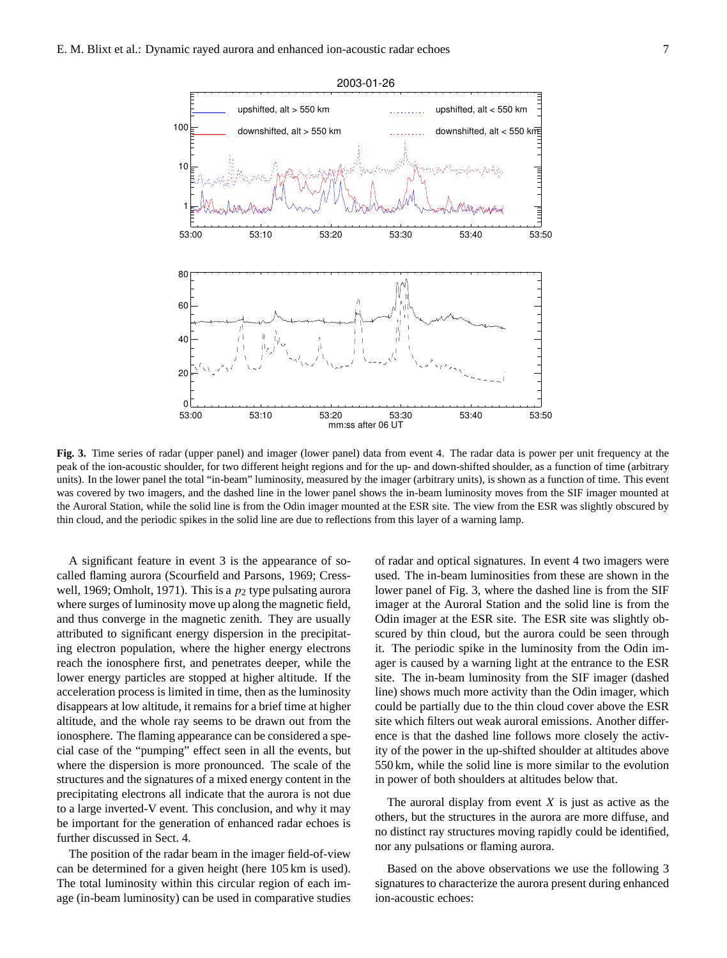

**Fig. 3.** Time series of radar (upper panel) and imager (lower panel) data from event 4. The radar data is power per unit frequency at the peak of the ion-acoustic shoulder, for two different height regions and for the up- and down-shifted shoulder, as a function of time (arbitrary units). In the lower panel the total "in-beam" luminosity, measured by the imager (arbitrary units), is shown as a function of time. This event was covered by two imagers, and the dashed line in the lower panel shows the in-beam luminosity moves from the SIF imager mounted at the Auroral Station, while the solid line is from the Odin imager mounted at the ESR site. The view from the ESR was slightly obscured by thin cloud, and the periodic spikes in the solid line are due to reflections from this layer of a warning lamp.

A significant feature in event 3 is the appearance of socalled flaming aurora [\(Scourfield and Parsons,](#page-8-11) [1969;](#page-8-11) [Cress](#page-8-12)[well,](#page-8-12) [1969;](#page-8-12) [Omholt,](#page-8-13) [1971\)](#page-8-13). This is a  $p_2$  type pulsating aurora where surges of luminosity move up along the magnetic field, and thus converge in the magnetic zenith. They are usually attributed to significant energy dispersion in the precipitating electron population, where the higher energy electrons reach the ionosphere first, and penetrates deeper, while the lower energy particles are stopped at higher altitude. If the acceleration process is limited in time, then as the luminosity disappears at low altitude, it remains for a brief time at higher altitude, and the whole ray seems to be drawn out from the ionosphere. The flaming appearance can be considered a special case of the "pumping" effect seen in all the events, but where the dispersion is more pronounced. The scale of the structures and the signatures of a mixed energy content in the precipitating electrons all indicate that the aurora is not due to a large inverted-V event. This conclusion, and why it may be important for the generation of enhanced radar echoes is further discussed in Sect. 4.

The position of the radar beam in the imager field-of-view can be determined for a given height (here 105 km is used). The total luminosity within this circular region of each image (in-beam luminosity) can be used in comparative studies of radar and optical signatures. In event 4 two imagers were used. The in-beam luminosities from these are shown in the lower panel of Fig. 3, where the dashed line is from the SIF imager at the Auroral Station and the solid line is from the Odin imager at the ESR site. The ESR site was slightly obscured by thin cloud, but the aurora could be seen through it. The periodic spike in the luminosity from the Odin imager is caused by a warning light at the entrance to the ESR site. The in-beam luminosity from the SIF imager (dashed line) shows much more activity than the Odin imager, which could be partially due to the thin cloud cover above the ESR site which filters out weak auroral emissions. Another difference is that the dashed line follows more closely the activity of the power in the up-shifted shoulder at altitudes above 550 km, while the solid line is more similar to the evolution in power of both shoulders at altitudes below that.

The auroral display from event  $X$  is just as active as the others, but the structures in the aurora are more diffuse, and no distinct ray structures moving rapidly could be identified, nor any pulsations or flaming aurora.

Based on the above observations we use the following 3 signatures to characterize the aurora present during enhanced ion-acoustic echoes: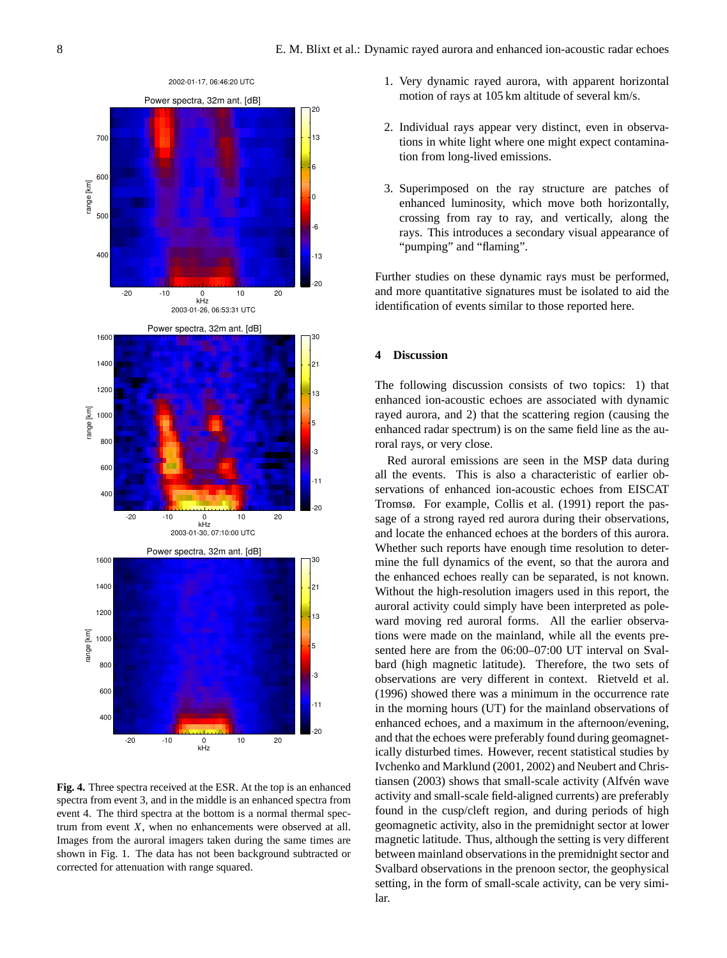

**Fig. 4.** Three spectra received at the ESR. At the top is an enhanced spectra from event 3, and in the middle is an enhanced spectra from event 4. The third spectra at the bottom is a normal thermal spectrum from event X, when no enhancements were observed at all. Images from the auroral imagers taken during the same times are shown in Fig. 1. The data has not been background subtracted or corrected for attenuation with range squared.

- 1. Very dynamic rayed aurora, with apparent horizontal motion of rays at 105 km altitude of several km/s.
- 2. Individual rays appear very distinct, even in observations in white light where one might expect contamination from long-lived emissions.
- 3. Superimposed on the ray structure are patches of enhanced luminosity, which move both horizontally, crossing from ray to ray, and vertically, along the rays. This introduces a secondary visual appearance of "pumping" and "flaming".

Further studies on these dynamic rays must be performed, and more quantitative signatures must be isolated to aid the identification of events similar to those reported here.

## **4 Discussion**

The following discussion consists of two topics: 1) that enhanced ion-acoustic echoes are associated with dynamic rayed aurora, and 2) that the scattering region (causing the enhanced radar spectrum) is on the same field line as the auroral rays, or very close.

Red auroral emissions are seen in the MSP data during all the events. This is also a characteristic of earlier observations of enhanced ion-acoustic echoes from EISCAT Tromsø. For example, [Collis et al.](#page-8-1) [\(1991\)](#page-8-1) report the passage of a strong rayed red aurora during their observations, and locate the enhanced echoes at the borders of this aurora. Whether such reports have enough time resolution to determine the full dynamics of the event, so that the aurora and the enhanced echoes really can be separated, is not known. Without the high-resolution imagers used in this report, the auroral activity could simply have been interpreted as poleward moving red auroral forms. All the earlier observations were made on the mainland, while all the events presented here are from the 06:00–07:00 UT interval on Svalbard (high magnetic latitude). Therefore, the two sets of observations are very different in context. [Rietveld et al.](#page-8-14) [\(1996\)](#page-8-14) showed there was a minimum in the occurrence rate in the morning hours (UT) for the mainland observations of enhanced echoes, and a maximum in the afternoon/evening, and that the echoes were preferably found during geomagnetically disturbed times. However, recent statistical studies by [Ivchenko and Marklund](#page-8-15) [\(2001,](#page-8-15) [2002\)](#page-8-16) and [Neubert and Chris](#page-8-17)[tiansen](#page-8-17) [\(2003\)](#page-8-17) shows that small-scale activity (Alfvén wave activity and small-scale field-aligned currents) are preferably found in the cusp/cleft region, and during periods of high geomagnetic activity, also in the premidnight sector at lower magnetic latitude. Thus, although the setting is very different between mainland observations in the premidnight sector and Svalbard observations in the prenoon sector, the geophysical setting, in the form of small-scale activity, can be very similar.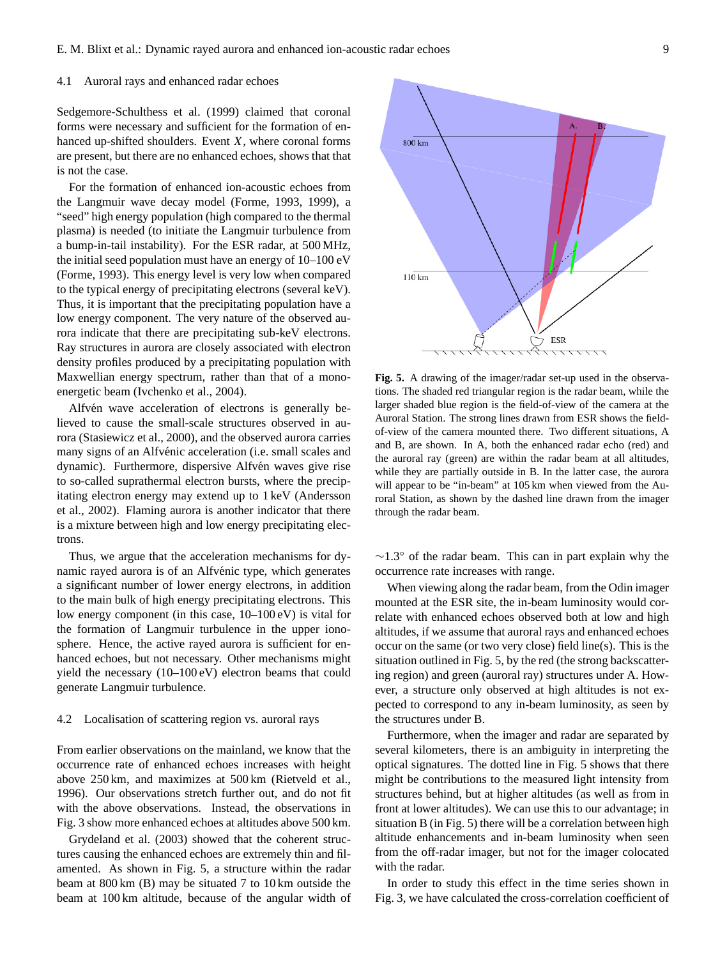## 4.1 Auroral rays and enhanced radar echoes

Sedgemore-Schulthess et al. (1999) claimed that coronal forms were necessary and sufficient for the formation of enhanced up-shifted shoulders. Event  $X$ , where coronal forms are present, but there are no enhanced echoes, shows that that is not the case.

For the formation of enhanced ion-acoustic echoes from the Langmuir wave decay model [\(Forme,](#page-8-18) [1993,](#page-8-18) [1999\)](#page-8-19), a "seed" high energy population (high compared to the thermal plasma) is needed (to initiate the Langmuir turbulence from a bump-in-tail instability). For the ESR radar, at 500 MHz, the initial seed population must have an energy of 10–100 eV [\(Forme,](#page-8-18) [1993\)](#page-8-18). This energy level is very low when compared to the typical energy of precipitating electrons (several keV). Thus, it is important that the precipitating population have a low energy component. The very nature of the observed aurora indicate that there are precipitating sub-keV electrons. Ray structures in aurora are closely associated with electron density profiles produced by a precipitating population with Maxwellian energy spectrum, rather than that of a monoenergetic beam [\(Ivchenko et al.,](#page-8-20) [2004\)](#page-8-20).

Alfvén wave acceleration of electrons is generally believed to cause the small-scale structures observed in aurora [\(Stasiewicz et al.,](#page-8-21) [2000\)](#page-8-21), and the observed aurora carries many signs of an Alfvénic acceleration (i.e. small scales and dynamic). Furthermore, dispersive Alfvén waves give rise to so-called suprathermal electron bursts, where the precipitating electron energy may extend up to 1 keV [\(Andersson](#page-8-22) [et al.,](#page-8-22) [2002\)](#page-8-22). Flaming aurora is another indicator that there is a mixture between high and low energy precipitating electrons.

Thus, we argue that the acceleration mechanisms for dynamic rayed aurora is of an Alfvénic type, which generates a significant number of lower energy electrons, in addition to the main bulk of high energy precipitating electrons. This low energy component (in this case, 10–100 eV) is vital for the formation of Langmuir turbulence in the upper ionosphere. Hence, the active rayed aurora is sufficient for enhanced echoes, but not necessary. Other mechanisms might yield the necessary (10–100 eV) electron beams that could generate Langmuir turbulence.

# 4.2 Localisation of scattering region vs. auroral rays

From earlier observations on the mainland, we know that the occurrence rate of enhanced echoes increases with height above 250 km, and maximizes at 500 km [\(Rietveld et al.,](#page-8-14) [1996\)](#page-8-14). Our observations stretch further out, and do not fit with the above observations. Instead, the observations in Fig. 3 show more enhanced echoes at altitudes above 500 km.

[Grydeland et al.](#page-8-4) [\(2003\)](#page-8-4) showed that the coherent structures causing the enhanced echoes are extremely thin and filamented. As shown in Fig. 5, a structure within the radar beam at 800 km (B) may be situated 7 to 10 km outside the beam at 100 km altitude, because of the angular width of



**Fig. 5.** A drawing of the imager/radar set-up used in the observations. The shaded red triangular region is the radar beam, while the larger shaded blue region is the field-of-view of the camera at the Auroral Station. The strong lines drawn from ESR shows the fieldof-view of the camera mounted there. Two different situations, A and B, are shown. In A, both the enhanced radar echo (red) and the auroral ray (green) are within the radar beam at all altitudes, while they are partially outside in B. In the latter case, the aurora will appear to be "in-beam" at 105 km when viewed from the Auroral Station, as shown by the dashed line drawn from the imager through the radar beam.

∼1.3◦ of the radar beam. This can in part explain why the occurrence rate increases with range.

When viewing along the radar beam, from the Odin imager mounted at the ESR site, the in-beam luminosity would correlate with enhanced echoes observed both at low and high altitudes, if we assume that auroral rays and enhanced echoes occur on the same (or two very close) field line(s). This is the situation outlined in Fig. 5, by the red (the strong backscattering region) and green (auroral ray) structures under A. However, a structure only observed at high altitudes is not expected to correspond to any in-beam luminosity, as seen by the structures under B.

Furthermore, when the imager and radar are separated by several kilometers, there is an ambiguity in interpreting the optical signatures. The dotted line in Fig. 5 shows that there might be contributions to the measured light intensity from structures behind, but at higher altitudes (as well as from in front at lower altitudes). We can use this to our advantage; in situation B (in Fig. 5) there will be a correlation between high altitude enhancements and in-beam luminosity when seen from the off-radar imager, but not for the imager colocated with the radar.

In order to study this effect in the time series shown in Fig. 3, we have calculated the cross-correlation coefficient of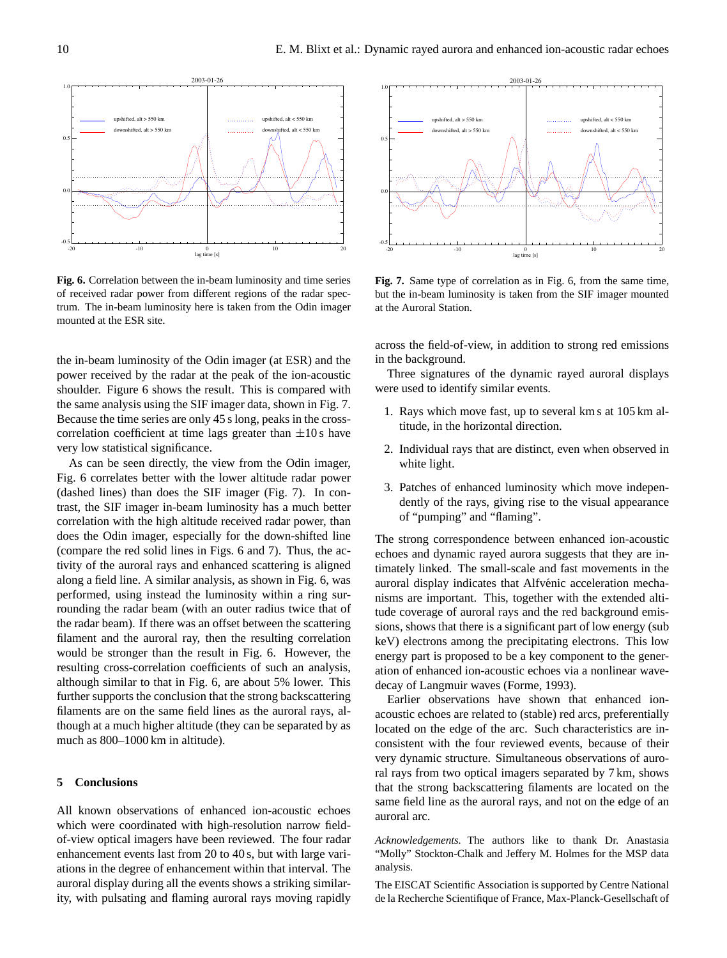2003-01-26 -20 -10 0 10 20 lag time [s] -0.5  $0.0$  $\overline{0}$ 1.0 ted, alt  $> 550$  km downshifted, alt > 550 km upshifted, alt < 550 km downshifted, alt < 550 km

**Fig. 6.** Correlation between the in-beam luminosity and time series of received radar power from different regions of the radar spectrum. The in-beam luminosity here is taken from the Odin imager mounted at the ESR site.

the in-beam luminosity of the Odin imager (at ESR) and the power received by the radar at the peak of the ion-acoustic shoulder. Figure 6 shows the result. This is compared with the same analysis using the SIF imager data, shown in Fig. 7. Because the time series are only 45 s long, peaks in the crosscorrelation coefficient at time lags greater than  $\pm 10$  s have very low statistical significance.

As can be seen directly, the view from the Odin imager, Fig. 6 correlates better with the lower altitude radar power (dashed lines) than does the SIF imager (Fig. 7). In contrast, the SIF imager in-beam luminosity has a much better correlation with the high altitude received radar power, than does the Odin imager, especially for the down-shifted line (compare the red solid lines in Figs. 6 and 7). Thus, the activity of the auroral rays and enhanced scattering is aligned along a field line. A similar analysis, as shown in Fig. 6, was performed, using instead the luminosity within a ring surrounding the radar beam (with an outer radius twice that of the radar beam). If there was an offset between the scattering filament and the auroral ray, then the resulting correlation would be stronger than the result in Fig. 6. However, the resulting cross-correlation coefficients of such an analysis, although similar to that in Fig. 6, are about 5% lower. This further supports the conclusion that the strong backscattering filaments are on the same field lines as the auroral rays, although at a much higher altitude (they can be separated by as much as 800–1000 km in altitude).

## **5 Conclusions**

All known observations of enhanced ion-acoustic echoes which were coordinated with high-resolution narrow fieldof-view optical imagers have been reviewed. The four radar enhancement events last from 20 to 40 s, but with large variations in the degree of enhancement within that interval. The auroral display during all the events shows a striking similarity, with pulsating and flaming auroral rays moving rapidly



**Fig. 7.** Same type of correlation as in Fig. 6, from the same time, but the in-beam luminosity is taken from the SIF imager mounted at the Auroral Station.

across the field-of-view, in addition to strong red emissions in the background.

Three signatures of the dynamic rayed auroral displays were used to identify similar events.

- 1. Rays which move fast, up to several km s at 105 km altitude, in the horizontal direction.
- 2. Individual rays that are distinct, even when observed in white light.
- 3. Patches of enhanced luminosity which move independently of the rays, giving rise to the visual appearance of "pumping" and "flaming".

The strong correspondence between enhanced ion-acoustic echoes and dynamic rayed aurora suggests that they are intimately linked. The small-scale and fast movements in the auroral display indicates that Alfvénic acceleration mechanisms are important. This, together with the extended altitude coverage of auroral rays and the red background emissions, shows that there is a significant part of low energy (sub keV) electrons among the precipitating electrons. This low energy part is proposed to be a key component to the generation of enhanced ion-acoustic echoes via a nonlinear wavedecay of Langmuir waves [\(Forme,](#page-8-18) [1993\)](#page-8-18).

Earlier observations have shown that enhanced ionacoustic echoes are related to (stable) red arcs, preferentially located on the edge of the arc. Such characteristics are inconsistent with the four reviewed events, because of their very dynamic structure. Simultaneous observations of auroral rays from two optical imagers separated by 7 km, shows that the strong backscattering filaments are located on the same field line as the auroral rays, and not on the edge of an auroral arc.

*Acknowledgements.* The authors like to thank Dr. Anastasia "Molly" Stockton-Chalk and Jeffery M. Holmes for the MSP data analysis.

The EISCAT Scientific Association is supported by Centre National de la Recherche Scientifique of France, Max-Planck-Gesellschaft of